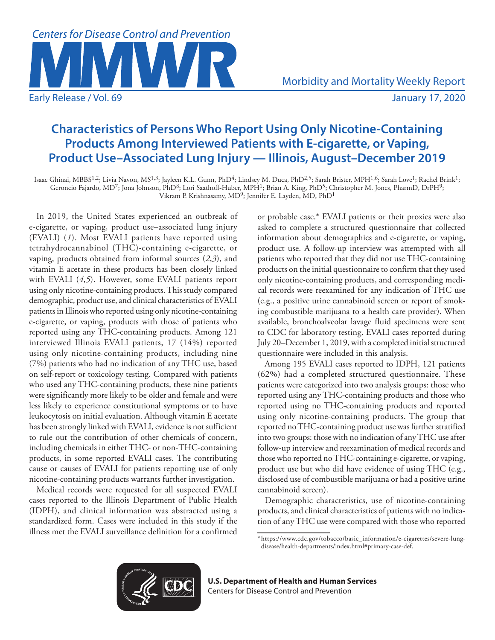

# **Characteristics of Persons Who Report Using Only Nicotine-Containing Products Among Interviewed Patients with E-cigarette, or Vaping, Product Use–Associated Lung Injury — Illinois, August–December 2019**

Isaac Ghinai, MBBS<sup>1,2</sup>; Livia Navon, MS<sup>1,3</sup>; Jayleen K.L. Gunn, PhD<sup>4</sup>; Lindsey M. Duca, PhD<sup>2,5</sup>; Sarah Brister, MPH<sup>1,6</sup>; Sarah Love<sup>1</sup>; Rachel Brink<sup>1</sup>; Geroncio Fajardo, MD<sup>7</sup>; Jona Johnson, PhD<sup>8</sup>; Lori Saathoff-Huber, MPH<sup>1</sup>; Brian A. King, PhD<sup>5</sup>; Christopher M. Jones, PharmD, DrPH<sup>9</sup>; Vikram P. Krishnasamy, MD9; Jennifer E. Layden, MD, PhD1

In 2019, the United States experienced an outbreak of e-cigarette, or vaping, product use–associated lung injury (EVALI) (*1*). Most EVALI patients have reported using tetrahydrocannabinol (THC)-containing e-cigarette, or vaping, products obtained from informal sources (*2*,*3*), and vitamin E acetate in these products has been closely linked with EVALI (*4*,*5*). However, some EVALI patients report using only nicotine-containing products. This study compared demographic, product use, and clinical characteristics of EVALI patients in Illinois who reported using only nicotine-containing e-cigarette, or vaping, products with those of patients who reported using any THC-containing products. Among 121 interviewed Illinois EVALI patients, 17 (14%) reported using only nicotine-containing products, including nine (7%) patients who had no indication of any THC use, based on self-report or toxicology testing. Compared with patients who used any THC-containing products, these nine patients were significantly more likely to be older and female and were less likely to experience constitutional symptoms or to have leukocytosis on initial evaluation. Although vitamin E acetate has been strongly linked with EVALI, evidence is not sufficient to rule out the contribution of other chemicals of concern, including chemicals in either THC- or non-THC-containing products, in some reported EVALI cases. The contributing cause or causes of EVALI for patients reporting use of only nicotine-containing products warrants further investigation.

Medical records were requested for all suspected EVALI cases reported to the Illinois Department of Public Health (IDPH), and clinical information was abstracted using a standardized form. Cases were included in this study if the illness met the EVALI surveillance definition for a confirmed or probable case.\* EVALI patients or their proxies were also asked to complete a structured questionnaire that collected information about demographics and e-cigarette, or vaping, product use. A follow-up interview was attempted with all patients who reported that they did not use THC-containing products on the initial questionnaire to confirm that they used only nicotine-containing products, and corresponding medical records were reexamined for any indication of THC use (e.g., a positive urine cannabinoid screen or report of smoking combustible marijuana to a health care provider). When available, bronchoalveolar lavage fluid specimens were sent to CDC for laboratory testing. EVALI cases reported during July 20–December 1, 2019, with a completed initial structured questionnaire were included in this analysis.

Among 195 EVALI cases reported to IDPH, 121 patients (62%) had a completed structured questionnaire. These patients were categorized into two analysis groups: those who reported using any THC-containing products and those who reported using no THC-containing products and reported using only nicotine-containing products. The group that reported no THC-containing product use was further stratified into two groups: those with no indication of any THC use after follow-up interview and reexamination of medical records and those who reported no THC-containing e-cigarette, or vaping, product use but who did have evidence of using THC (e.g., disclosed use of combustible marijuana or had a positive urine cannabinoid screen).

Demographic characteristics, use of nicotine-containing products, and clinical characteristics of patients with no indication of any THC use were compared with those who reported



**U.S. Department of Health and Human Services** Centers for Disease Control and Prevention

<sup>\*</sup> [https://www.cdc.gov/tobacco/basic\\_information/e-cigarettes/severe-lung](https://www.cdc.gov/tobacco/basic_information/e-cigarettes/severe-lung-disease/health-departments/index.html#primary-case-def)[disease/health-departments/index.html#primary-case-def](https://www.cdc.gov/tobacco/basic_information/e-cigarettes/severe-lung-disease/health-departments/index.html#primary-case-def).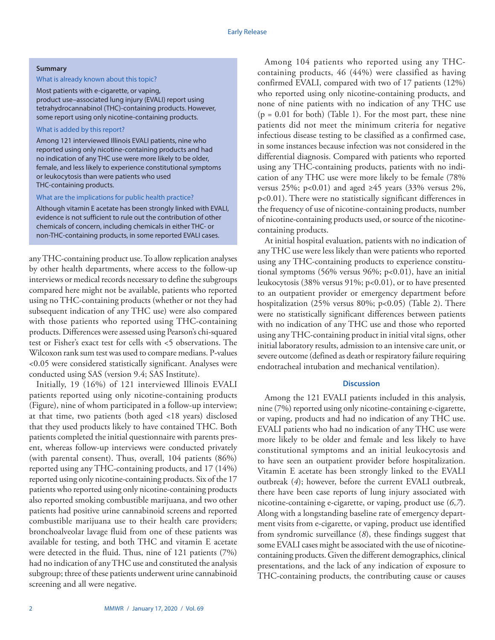#### **Summary**

## What is already known about this topic?

Most patients with e-cigarette, or vaping, product use–associated lung injury (EVALI) report using tetrahydrocannabinol (THC)-containing products. However, some report using only nicotine-containing products.

## What is added by this report?

Among 121 interviewed Illinois EVALI patients, nine who reported using only nicotine-containing products and had no indication of any THC use were more likely to be older, female, and less likely to experience constitutional symptoms or leukocytosis than were patients who used THC-containing products.

#### What are the implications for public health practice?

Although vitamin E acetate has been strongly linked with EVALI, evidence is not sufficient to rule out the contribution of other chemicals of concern, including chemicals in either THC- or non-THC-containing products, in some reported EVALI cases.

any THC-containing product use. To allow replication analyses by other health departments, where access to the follow-up interviews or medical records necessary to define the subgroups compared here might not be available, patients who reported using no THC-containing products (whether or not they had subsequent indication of any THC use) were also compared with those patients who reported using THC-containing products. Differences were assessed using Pearson's chi-squared test or Fisher's exact test for cells with <5 observations. The Wilcoxon rank sum test was used to compare medians. P-values <0.05 were considered statistically significant. Analyses were conducted using SAS (version 9.4; SAS Institute).

Initially, 19 (16%) of 121 interviewed Illinois EVALI patients reported using only nicotine-containing products (Figure), nine of whom participated in a follow-up interview; at that time, two patients (both aged <18 years) disclosed that they used products likely to have contained THC. Both patients completed the initial questionnaire with parents present, whereas follow-up interviews were conducted privately (with parental consent). Thus, overall, 104 patients (86%) reported using any THC-containing products, and 17 (14%) reported using only nicotine-containing products. Six of the 17 patients who reported using only nicotine-containing products also reported smoking combustible marijuana, and two other patients had positive urine cannabinoid screens and reported combustible marijuana use to their health care providers; bronchoalveolar lavage fluid from one of these patients was available for testing, and both THC and vitamin E acetate were detected in the fluid. Thus, nine of 121 patients (7%) had no indication of any THC use and constituted the analysis subgroup; three of these patients underwent urine cannabinoid screening and all were negative.

Among 104 patients who reported using any THCcontaining products, 46 (44%) were classified as having confirmed EVALI, compared with two of 17 patients (12%) who reported using only nicotine-containing products, and none of nine patients with no indication of any THC use  $(p = 0.01$  for both) (Table 1). For the most part, these nine patients did not meet the minimum criteria for negative infectious disease testing to be classified as a confirmed case, in some instances because infection was not considered in the differential diagnosis. Compared with patients who reported using any THC-containing products, patients with no indication of any THC use were more likely to be female (78% versus 25%; p<0.01) and aged  $\geq 45$  years (33% versus 2%, p<0.01). There were no statistically significant differences in the frequency of use of nicotine-containing products, number of nicotine-containing products used, or source of the nicotinecontaining products.

At initial hospital evaluation, patients with no indication of any THC use were less likely than were patients who reported using any THC-containing products to experience constitutional symptoms (56% versus 96%; p<0.01), have an initial leukocytosis (38% versus 91%; p<0.01), or to have presented to an outpatient provider or emergency department before hospitalization (25% versus 80%; p<0.05) (Table 2). There were no statistically significant differences between patients with no indication of any THC use and those who reported using any THC-containing product in initial vital signs, other initial laboratory results, admission to an intensive care unit, or severe outcome (defined as death or respiratory failure requiring endotracheal intubation and mechanical ventilation).

## **Discussion**

Among the 121 EVALI patients included in this analysis, nine (7%) reported using only nicotine-containing e-cigarette, or vaping, products and had no indication of any THC use. EVALI patients who had no indication of any THC use were more likely to be older and female and less likely to have constitutional symptoms and an initial leukocytosis and to have seen an outpatient provider before hospitalization. Vitamin E acetate has been strongly linked to the EVALI outbreak (*4*); however, before the current EVALI outbreak, there have been case reports of lung injury associated with nicotine-containing e-cigarette, or vaping, product use (*6*,*7*). Along with a longstanding baseline rate of emergency department visits from e-cigarette, or vaping, product use identified from syndromic surveillance (*8*), these findings suggest that some EVALI cases might be associated with the use of nicotinecontaining products. Given the different demographics, clinical presentations, and the lack of any indication of exposure to THC-containing products, the contributing cause or causes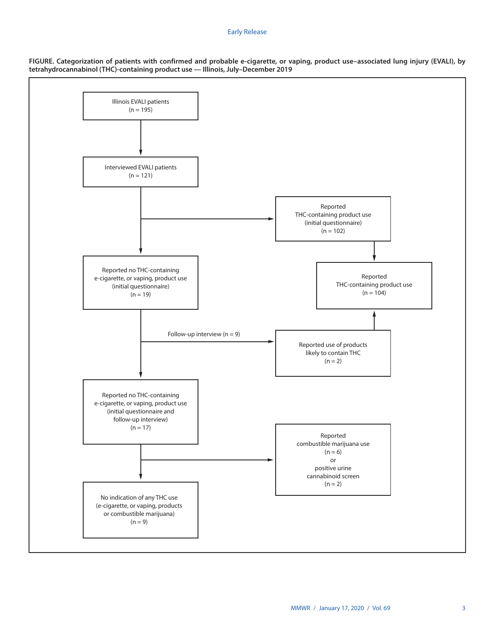### Early Release



**FIGURE. Categorization of patients with confirmed and probable e-cigarette, or vaping, product use–associated lung injury (EVALI), by tetrahydrocannabinol (THC)-containing product use — Illinois, July–December 2019**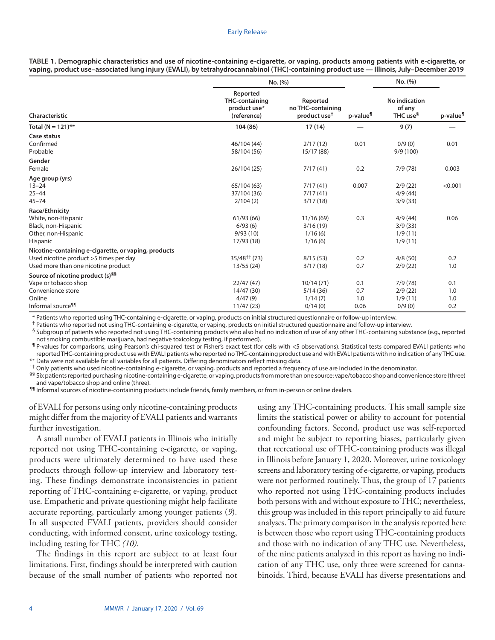|                                                                                                                                       | No. (%)                                                          |                                                           | No. (%)                   |                                                 |                          |  |
|---------------------------------------------------------------------------------------------------------------------------------------|------------------------------------------------------------------|-----------------------------------------------------------|---------------------------|-------------------------------------------------|--------------------------|--|
| Characteristic                                                                                                                        | Reported<br><b>THC-containing</b><br>product use*<br>(reference) | Reported<br>no THC-containing<br>product use <sup>†</sup> | p-value <sup>¶</sup>      | No indication<br>of any<br>THC use <sup>§</sup> | p-value <sup>¶</sup>     |  |
| Total (N = 121)**                                                                                                                     | 104 (86)                                                         | 17(14)                                                    |                           | 9(7)                                            |                          |  |
| Case status<br>Confirmed<br>Probable                                                                                                  | 46/104 (44)<br>58/104 (56)                                       | 2/17(12)<br>15/17 (88)                                    | 0.01                      | 0/9(0)<br>9/9(100)                              | 0.01                     |  |
| Gender<br>Female                                                                                                                      | 26/104 (25)                                                      | 7/17(41)                                                  | 0.2                       | 7/9(78)                                         | 0.003                    |  |
| Age group (yrs)<br>$13 - 24$<br>$25 - 44$<br>$45 - 74$                                                                                | 65/104 (63)<br>37/104 (36)<br>2/104(2)                           | 7/17(41)<br>7/17(41)<br>3/17(18)                          | 0.007                     | 2/9(22)<br>4/9(44)<br>3/9(33)                   | < 0.001                  |  |
| Race/Ethnicity<br>White, non-Hispanic<br>Black, non-Hispanic<br>Other, non-Hispanic<br><b>Hispanic</b>                                | 61/93(66)<br>6/93(6)<br>9/93(10)<br>17/93 (18)                   | 11/16(69)<br>3/16(19)<br>1/16(6)<br>1/16(6)               | 0.3                       | 4/9(44)<br>3/9(33)<br>1/9(11)<br>1/9(11)        | 0.06                     |  |
| Nicotine-containing e-cigarette, or vaping, products<br>Used nicotine product >5 times per day<br>Used more than one nicotine product | $35/48^{++}$ (73)<br>13/55(24)                                   | 8/15(53)<br>3/17(18)                                      | 0.2<br>0.7                | 4/8(50)<br>2/9(22)                              | 0.2<br>1.0               |  |
| Source of nicotine product (s) <sup>§§</sup><br>Vape or tobacco shop<br>Convenience store<br>Online<br>Informal source <sup>¶¶</sup>  | 22/47(47)<br>14/47 (30)<br>4/47(9)<br>11/47(23)                  | 10/14(71)<br>5/14(36)<br>1/14(7)<br>0/14(0)               | 0.1<br>0.7<br>1.0<br>0.06 | 7/9(78)<br>2/9(22)<br>1/9(11)<br>0/9(0)         | 0.1<br>1.0<br>1.0<br>0.2 |  |

**TABLE 1. Demographic characteristics and use of nicotine-containing e-cigarette, or vaping, products among patients with e-cigarette, or vaping, product use–associated lung injury (EVALI), by tetrahydrocannabinol (THC)-containing product use — Illinois, July–December 2019**

\* Patients who reported using THC-containing e-cigarette, or vaping, products on initial structured questionnaire or follow-up interview.

† Patients who reported not using THC-containing e-cigarette, or vaping, products on initial structured questionnaire and follow-up interview.

§ Subgroup of patients who reported not using THC-containing products who also had no indication of use of any other THC-containing substance (e.g., reported not smoking combustible marijuana, had negative toxicology testing, if performed).

¶ P-values for comparisons, using Pearson's chi-squared test or Fisher's exact test (for cells with <5 observations). Statistical tests compared EVALI patients who reported THC-containing product use with EVALI patients who reported no THC-containing product use and with EVALI patients with no indication of any THC use. \*\* Data were not available for all variables for all patients. Differing denominators reflect missing data.

†† Only patients who used nicotine-containing e-cigarette, or vaping, products and reported a frequency of use are included in the denominator.

 $^{§§}$  Six patients reported purchasing nicotine-containing e-cigarette, or vaping, products from more than one source: vape/tobacco shop and convenience store (three) and vape/tobacco shop and online (three).

¶¶ Informal sources of nicotine-containing products include friends, family members, or from in-person or online dealers.

of EVALI for persons using only nicotine-containing products might differ from the majority of EVALI patients and warrants further investigation.

A small number of EVALI patients in Illinois who initially reported not using THC-containing e-cigarette, or vaping, products were ultimately determined to have used these products through follow-up interview and laboratory testing. These findings demonstrate inconsistencies in patient reporting of THC-containing e-cigarette, or vaping, product use. Empathetic and private questioning might help facilitate accurate reporting, particularly among younger patients (*9*). In all suspected EVALI patients, providers should consider conducting, with informed consent, urine toxicology testing, including testing for THC *(10)*.

The findings in this report are subject to at least four limitations. First, findings should be interpreted with caution because of the small number of patients who reported not using any THC-containing products. This small sample size limits the statistical power or ability to account for potential confounding factors. Second, product use was self-reported and might be subject to reporting biases, particularly given that recreational use of THC-containing products was illegal in Illinois before January 1, 2020. Moreover, urine toxicology screens and laboratory testing of e-cigarette, or vaping, products were not performed routinely. Thus, the group of 17 patients who reported not using THC-containing products includes both persons with and without exposure to THC; nevertheless, this group was included in this report principally to aid future analyses. The primary comparison in the analysis reported here is between those who report using THC-containing products and those with no indication of any THC use. Nevertheless, of the nine patients analyzed in this report as having no indication of any THC use, only three were screened for cannabinoids. Third, because EVALI has diverse presentations and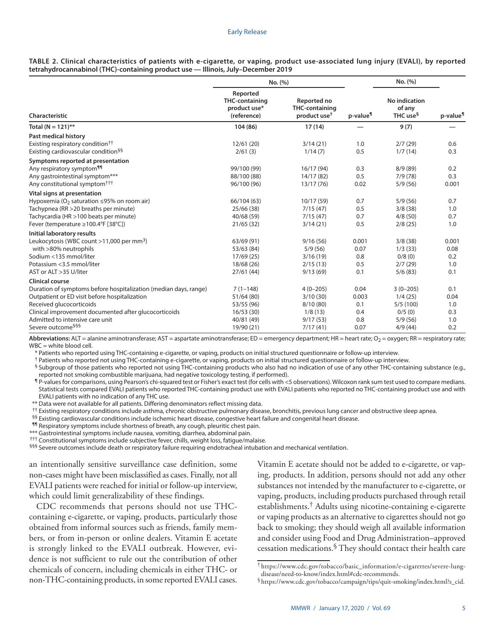|                                                                                  |  |  |  | TABLE 2. Clinical characteristics of patients with e-cigarette, or vaping, product use-associated lung injury (EVALI), by reported |  |  |
|----------------------------------------------------------------------------------|--|--|--|------------------------------------------------------------------------------------------------------------------------------------|--|--|
| tetrahydrocannabinol (THC)-containing product use — Illinois, July-December 2019 |  |  |  |                                                                                                                                    |  |  |

|                                                                                                                                                                                                                                                                            | No. (%)                                                                        |                                                                         |                                            | No. (%)                                                           |                                         |
|----------------------------------------------------------------------------------------------------------------------------------------------------------------------------------------------------------------------------------------------------------------------------|--------------------------------------------------------------------------------|-------------------------------------------------------------------------|--------------------------------------------|-------------------------------------------------------------------|-----------------------------------------|
| Characteristic                                                                                                                                                                                                                                                             | Reported<br><b>THC-containing</b><br>product use*<br>(reference)               | Reported no<br><b>THC-containing</b><br>product use <sup>t</sup>        | p-value <sup>¶</sup>                       | <b>No indication</b><br>of any<br>THC use <sup>§</sup>            | p-value <sup>¶</sup>                    |
| Total ( $N = 121$ )**                                                                                                                                                                                                                                                      | 104 (86)                                                                       | 17(14)                                                                  |                                            | 9(7)                                                              |                                         |
| Past medical history<br>Existing respiratory condition <sup>††</sup><br>Existing cardiovascular condition <sup>§§</sup>                                                                                                                                                    | 12/61(20)<br>2/61(3)                                                           | 3/14(21)<br>1/14(7)                                                     | 1.0<br>0.5                                 | 2/7(29)<br>1/7(14)                                                | 0.6<br>0.3                              |
| Symptoms reported at presentation                                                                                                                                                                                                                                          |                                                                                |                                                                         |                                            |                                                                   |                                         |
| Any respiratory symptom <sup>11</sup><br>Any gastrointestinal symptom***<br>Any constitutional symptom <sup>†††</sup>                                                                                                                                                      | 99/100 (99)<br>88/100 (88)<br>96/100 (96)                                      | 16/17 (94)<br>14/17 (82)<br>13/17 (76)                                  | 0.3<br>0.5<br>0.02                         | 8/9(89)<br>7/9(78)<br>5/9(56)                                     | 0.2<br>0.3<br>0.001                     |
| Vital signs at presentation                                                                                                                                                                                                                                                |                                                                                |                                                                         |                                            |                                                                   |                                         |
| Hypoxemia (O <sub>2</sub> saturation $\leq$ 95% on room air)<br>Tachypnea (RR > 20 breaths per minute)<br>Tachycardia (HR > 100 beats per minute)<br>Fever (temperature ≥100.4°F [38°C])                                                                                   | 66/104 (63)<br>25/66 (38)<br>40/68 (59)<br>21/65(32)                           | 10/17 (59)<br>7/15(47)<br>7/15(47)<br>3/14(21)                          | 0.7<br>0.5<br>0.7<br>0.5                   | 5/9(56)<br>3/8(38)<br>4/8(50)<br>2/8(25)                          | 0.7<br>1.0<br>0.7<br>1.0                |
| Initial laboratory results                                                                                                                                                                                                                                                 |                                                                                |                                                                         |                                            |                                                                   |                                         |
| Leukocytosis (WBC count $>11,000$ per mm <sup>3</sup> )<br>with >80% neutrophils<br>Sodium <135 mmol/liter<br>Potassium <3.5 mmol/liter<br>AST or ALT > 35 U/liter                                                                                                         | 63/69 (91)<br>53/63 (84)<br>17/69(25)<br>18/68 (26)<br>27/61(44)               | 9/16(56)<br>5/9(56)<br>3/16(19)<br>2/15(13)<br>9/13(69)                 | 0.001<br>0.07<br>0.8<br>0.5<br>0.1         | 3/8(38)<br>1/3(33)<br>0/8(0)<br>2/7(29)<br>5/6(83)                | 0.001<br>0.08<br>0.2<br>1.0<br>0.1      |
| <b>Clinical course</b>                                                                                                                                                                                                                                                     |                                                                                |                                                                         |                                            |                                                                   |                                         |
| Duration of symptoms before hospitalization (median days, range)<br>Outpatient or ED visit before hospitalization<br>Received glucocorticoids<br>Clinical improvement documented after glucocorticoids<br>Admitted to intensive care unit<br>Severe outcome <sup>§§§</sup> | $7(1-148)$<br>51/64(80)<br>53/55 (96)<br>16/53(30)<br>40/81 (49)<br>19/90 (21) | $4(0 - 205)$<br>3/10(30)<br>8/10(80)<br>1/8(13)<br>9/17(53)<br>7/17(41) | 0.04<br>0.003<br>0.1<br>0.4<br>0.8<br>0.07 | $3(0-205)$<br>1/4(25)<br>5/5(100)<br>0/5(0)<br>5/9(56)<br>4/9(44) | 0.1<br>0.04<br>1.0<br>0.3<br>1.0<br>0.2 |

Abbreviations: ALT = alanine aminotransferase; AST = aspartate aminotransferase; ED = emergency department; HR = heart rate; O<sub>2</sub> = oxygen; RR = respiratory rate; WBC = white blood cell.

\* Patients who reported using THC-containing e-cigarette, or vaping, products on initial structured questionnaire or follow-up interview.

† Patients who reported not using THC-containing e-cigarette, or vaping, products on initial structured questionnaire or follow-up interview.

§ Subgroup of those patients who reported not using THC-containing products who also had no indication of use of any other THC-containing substance (e.g., reported not smoking combustible marijuana, had negative toxicology testing, if performed).

¶ P-values for comparisons, using Pearson's chi-squared test or Fisher's exact test (for cells with <5 observations). Wilcoxon rank sum test used to compare medians. Statistical tests compared EVALI patients who reported THC-containing product use with EVALI patients who reported no THC-containing product use and with EVALI patients with no indication of any THC use.

\*\* Data were not available for all patients. Differing denominators reflect missing data.

†† Existing respiratory conditions include asthma, chronic obstructive pulmonary disease, bronchitis, previous lung cancer and obstructive sleep apnea.

§§ Existing cardiovascular conditions include ischemic heart disease, congestive heart failure and congenital heart disease.

¶¶ Respiratory symptoms include shortness of breath, any cough, pleuritic chest pain.

\*\*\* Gastrointestinal symptoms include nausea, vomiting, diarrhea, abdominal pain.

††† Constitutional symptoms include subjective fever, chills, weight loss, fatigue/malaise.

§§§ Severe outcomes include death or respiratory failure requiring endotracheal intubation and mechanical ventilation.

an intentionally sensitive surveillance case definition, some non-cases might have been misclassified as cases. Finally, not all EVALI patients were reached for initial or follow-up interview, which could limit generalizability of these findings.

CDC recommends that persons should not use THCcontaining e-cigarette, or vaping, products, particularly those obtained from informal sources such as friends, family members, or from in-person or online dealers. Vitamin E acetate is strongly linked to the EVALI outbreak. However, evidence is not sufficient to rule out the contribution of other chemicals of concern, including chemicals in either THC- or non-THC-containing products, in some reported EVALI cases. Vitamin E acetate should not be added to e-cigarette, or vaping, products. In addition, persons should not add any other substances not intended by the manufacturer to e-cigarette, or vaping, products, including products purchased through retail establishments.† Adults using nicotine-containing e-cigarette or vaping products as an alternative to cigarettes should not go back to smoking; they should weigh all available information and consider using Food and Drug Administration–approved cessation medications.§ They should contact their health care

† https://www.cdc.gov/tobacco/basic\_information/e-cigarettes/severe-lung-

 $\delta$ [https://www.cdc.gov/tobacco/campaign/tips/quit-smoking/index.html?s\\_cid](https://www.cdc.gov/tobacco/campaign/tips/quit-smoking/index.html?s_cid).